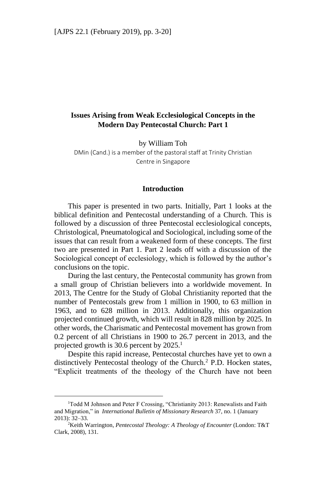# **Issues Arising from Weak Ecclesiological Concepts in the Modern Day Pentecostal Church: Part 1**

by William Toh

DMin (Cand.) is a member of the pastoral staff at Trinity Christian Centre in Singapore

### **Introduction**

This paper is presented in two parts. Initially, Part 1 looks at the biblical definition and Pentecostal understanding of a Church. This is followed by a discussion of three Pentecostal ecclesiological concepts, Christological, Pneumatological and Sociological, including some of the issues that can result from a weakened form of these concepts. The first two are presented in Part 1. Part 2 leads off with a discussion of the Sociological concept of ecclesiology, which is followed by the author's conclusions on the topic.

During the last century, the Pentecostal community has grown from a small group of Christian believers into a worldwide movement. In 2013, The Centre for the Study of Global Christianity reported that the number of Pentecostals grew from 1 million in 1900, to 63 million in 1963, and to 628 million in 2013. Additionally, this organization projected continued growth, which will result in 828 million by 2025. In other words, the Charismatic and Pentecostal movement has grown from 0.2 percent of all Christians in 1900 to 26.7 percent in 2013, and the projected growth is 30.6 percent by  $2025$ <sup>1</sup>

Despite this rapid increase, Pentecostal churches have yet to own a distinctively Pentecostal theology of the Church.<sup>2</sup> P.D. Hocken states, "Explicit treatments of the theology of the Church have not been

<sup>&</sup>lt;sup>1</sup>Todd M Johnson and Peter F Crossing, "Christianity 2013: Renewalists and Faith and Migration," in *International Bulletin of Missionary Research* 37, no. 1 (January 2013): 32–33.

<sup>2</sup>Keith Warrington, *Pentecostal Theology: A Theology of Encounter* (London: T&T Clark, 2008), 131.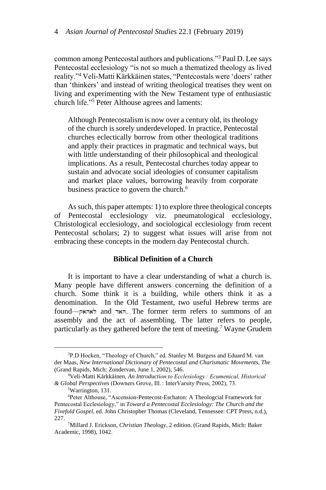common among Pentecostal authors and publications."<sup>3</sup> Paul D. Lee says Pentecostal ecclesiology "is not so much a thematized theology as lived reality."<sup>4</sup> Veli-Matti Kärkkäinen states, "Pentecostals were 'doers' rather than 'thinkers' and instead of writing theological treatises they went on living and experimenting with the New Testament type of enthusiastic church life."<sup>5</sup> Peter Althouse agrees and laments:

Although Pentecostalism is now over a century old, its theology of the church is sorely underdeveloped. In practice, Pentecostal churches eclectically borrow from other theological traditions and apply their practices in pragmatic and technical ways, but with little understanding of their philosophical and theological implications. As a result, Pentecostal churches today appear to sustain and advocate social ideologies of consumer capitalism and market place values, borrowing heavily from corporate business practice to govern the church.<sup>6</sup>

As such, this paper attempts: 1) to explore three theological concepts of Pentecostal ecclesiology viz. pneumatological ecclesiology, Christological ecclesiology, and sociological ecclesiology from recent Pentecostal scholars; 2) to suggest what issues will arise from not embracing these concepts in the modern day Pentecostal church.

## **Biblical Definition of a Church**

It is important to have a clear understanding of what a church is. Many people have different answers concerning the definition of a church. Some think it is a building, while others think it as a denomination. In the Old Testament, two useful Hebrew terms are found—האר and  $\tau$ האר. The former term refers to summons of an assembly and the act of assembling. The latter refers to people, particularly as they gathered before the tent of meeting.<sup>7</sup> Wayne Grudem

<sup>3</sup>P.D Hocken, "Theology of Church," ed. Stanley M. Burgess and Eduard M. van der Maas, *New International Dictionary of Pentecostal and Charismatic Movements, The* (Grand Rapids, Mich: Zondervan, June 1, 2002), 546.

<sup>4</sup>Veli-Matti Kärkkäinen, *An Introduction to Ecclesiology : Ecumenical, Historical & Global Perspectives* (Downers Grove, Ill. : InterVarsity Press, 2002), 73.

<sup>5</sup>Warrington, 131.

<sup>6</sup>Peter Althouse, "Ascension-Pentecost-Eschaton: A Theologcial Framework for Pentecostal Ecclesiology," in *Toward a Pentecostal Ecclesiology: The Church and the Fivefold Gospel*, ed. John Christopher Thomas (Cleveland, Tennessee: CPT Press, n.d.), 227.

<sup>7</sup>Millard J. Erickson, *Christian Theology*, 2 edition. (Grand Rapids, Mich: Baker Academic, 1998), 1042.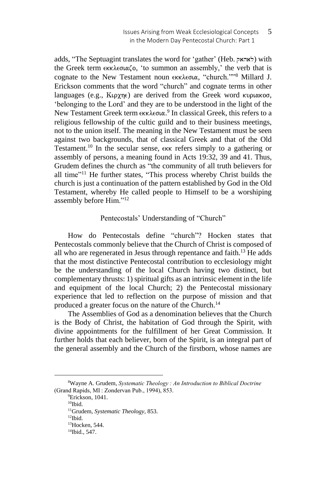adds, "The Septuagint translates the word for 'gather' (Heb. לאהאק) with the Greek term εκκλεσιαζο, 'to summon an assembly,' the verb that is cognate to the New Testament noun εκκλεσια, "church.""<sup>8</sup> Millard J. Erickson comments that the word "church" and cognate terms in other languages (e.g.,  $K\varphi\gamma\eta\epsilon$ ) are derived from the Greek word κυριακοσ, 'belonging to the Lord' and they are to be understood in the light of the New Testament Greek term εκκλεσια.<sup>9</sup> In classical Greek, this refers to a religious fellowship of the cultic guild and to their business meetings, not to the union itself. The meaning in the New Testament must be seen against two backgrounds, that of classical Greek and that of the Old Testament.<sup>10</sup> In the secular sense,  $\epsilon$ <sub>KK</sub> refers simply to a gathering or assembly of persons, a meaning found in Acts 19:32, 39 and 41. Thus, Grudem defines the church as "the community of all truth believers for all time"<sup>11</sup> He further states, "This process whereby Christ builds the church is just a continuation of the pattern established by God in the Old Testament, whereby He called people to Himself to be a worshiping assembly before Him."<sup>12</sup>

## Pentecostals' Understanding of "Church"

How do Pentecostals define "church"? Hocken states that Pentecostals commonly believe that the Church of Christ is composed of all who are regenerated in Jesus through repentance and faith.<sup>13</sup> He adds that the most distinctive Pentecostal contribution to ecclesiology might be the understanding of the local Church having two distinct, but complementary thrusts: 1) spiritual gifts as an intrinsic element in the life and equipment of the local Church; 2) the Pentecostal missionary experience that led to reflection on the purpose of mission and that produced a greater focus on the nature of the Church.<sup>14</sup>

The Assemblies of God as a denomination believes that the Church is the Body of Christ, the habitation of God through the Spirit, with divine appointments for the fulfillment of her Great Commission. It further holds that each believer, born of the Spirit, is an integral part of the general assembly and the Church of the firstborn, whose names are

 $10$ Ibid.

 $12$ Ibid.

<sup>8</sup>Wayne A. Grudem, *Systematic Theology : An Introduction to Biblical Doctrine* (Grand Rapids, MI : Zondervan Pub., 1994), 853.

<sup>&</sup>lt;sup>9</sup>Erickson, 1041.

<sup>11</sup>Grudem, *Systematic Theology*, 853.

<sup>13</sup>Hocken, 544.

<sup>14</sup>Ibid., 547.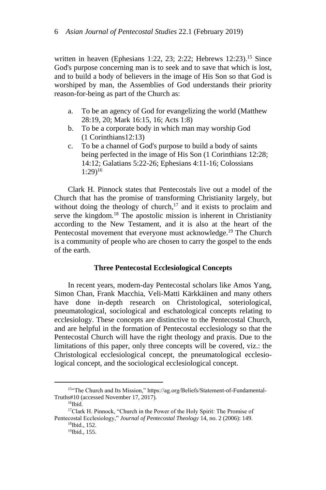written in heaven (Ephesians 1:22, 23; 2:22; Hebrews 12:23).<sup>15</sup> Since God's purpose concerning man is to seek and to save that which is lost, and to build a body of believers in the image of His Son so that God is worshiped by man, the Assemblies of God understands their priority reason-for-being as part of the Church as:

- a. To be an agency of God for evangelizing the world (Matthew 28:19, 20; Mark 16:15, 16; Acts 1:8)
- b. To be a corporate body in which man may worship God (1 Corinthians12:13)
- c. To be a channel of God's purpose to build a body of saints being perfected in the image of His Son (1 Corinthians 12:28; 14:12; Galatians 5:22-26; Ephesians 4:11-16; Colossians  $1:29$ <sup>16</sup>

Clark H. Pinnock states that Pentecostals live out a model of the Church that has the promise of transforming Christianity largely, but without doing the theology of church, $17$  and it exists to proclaim and serve the kingdom.<sup>18</sup> The apostolic mission is inherent in Christianity according to the New Testament, and it is also at the heart of the Pentecostal movement that everyone must acknowledge.<sup>19</sup> The Church is a community of people who are chosen to carry the gospel to the ends of the earth.

## **Three Pentecostal Ecclesiological Concepts**

In recent years, modern-day Pentecostal scholars like Amos Yang, Simon Chan, Frank Macchia, Veli-Matti Kärkkäinen and many others have done in-depth research on Christological, soteriological, pneumatological, sociological and eschatological concepts relating to ecclesiology. These concepts are distinctive to the Pentecostal Church, and are helpful in the formation of Pentecostal ecclesiology so that the Pentecostal Church will have the right theology and praxis. Due to the limitations of this paper, only three concepts will be covered, viz.: the Christological ecclesiological concept, the pneumatological ecclesiological concept, and the sociological ecclesiological concept.

<sup>15&</sup>quot;The Church and Its Mission," https://ag.org/Beliefs/Statement-of-Fundamental-Truths#10 (accessed November 17, 2017).

<sup>&</sup>lt;sup>16</sup>Ibid.

<sup>&</sup>lt;sup>17</sup>Clark H. Pinnock, "Church in the Power of the Holy Spirit: The Promise of Pentecostal Ecclesiology," *Journal of Pentecostal Theology* 14, no. 2 (2006): 149.

<sup>18</sup>Ibid., 152.

<sup>19</sup>Ibid., 155.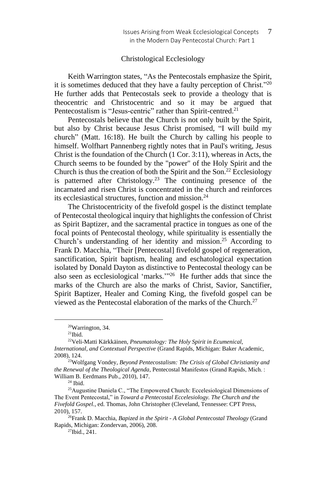## Christological Ecclesiology

Keith Warrington states, "As the Pentecostals emphasize the Spirit, it is sometimes deduced that they have a faulty perception of Christ."<sup>20</sup> He further adds that Pentecostals seek to provide a theology that is theocentric and Christocentric and so it may be argued that Pentecostalism is "Jesus-centric" rather than Spirit-centred.<sup>21</sup>

Pentecostals believe that the Church is not only built by the Spirit, but also by Christ because Jesus Christ promised, "I will build my church" (Matt. 16:18). He built the Church by calling his people to himself. Wolfhart Pannenberg rightly notes that in Paul's writing, Jesus Christ is the foundation of the Church (1 Cor. 3:11), whereas in Acts, the Church seems to be founded by the "power" of the Holy Spirit and the Church is thus the creation of both the Spirit and the Son.<sup>22</sup> Ecclesiology is patterned after Christology.<sup>23</sup> The continuing presence of the incarnated and risen Christ is concentrated in the church and reinforces its ecclesiastical structures, function and mission.<sup>24</sup>

The Christocentricity of the fivefold gospel is the distinct template of Pentecostal theological inquiry that highlights the confession of Christ as Spirit Baptizer, and the sacramental practice in tongues as one of the focal points of Pentecostal theology, while spirituality is essentially the Church's understanding of her identity and mission.<sup>25</sup> According to Frank D. Macchia, "Their [Pentecostal] fivefold gospel of regeneration, sanctification, Spirit baptism, healing and eschatological expectation isolated by Donald Dayton as distinctive to Pentecostal theology can be also seen as ecclesiological 'marks.'" 26 He further adds that since the marks of the Church are also the marks of Christ, Savior, Sanctifier, Spirit Baptizer, Healer and Coming King, the fivefold gospel can be viewed as the Pentecostal elaboration of the marks of the Church.<sup>27</sup>

<sup>20</sup>Warrington, 34.

 $21$ Ibid.

<sup>22</sup>Veli-Matti Kärkkäinen, *Pneumatology: The Holy Spirit in Ecumenical, International, and Contextual Perspective* (Grand Rapids, Michigan: Baker Academic, 2008), 124.

<sup>23</sup>Wolfgang Vondey, *Beyond Pentecostalism: The Crisis of Global Christianity and the Renewal of the Theological Agenda*, Pentecostal Manifestos (Grand Rapids, Mich. : William B. Eerdmans Pub., 2010), 147.

 $24$  Ibid.

<sup>&</sup>lt;sup>25</sup>Augustine Daniela C., "The Empowered Church: Eccelesiological Dimensions of The Event Pentecostal," in *Toward a Pentecostal Eccelesiology. The Church and the Fivefold Gospel.*, ed. Thomas, John Christopher (Cleveland, Tennessee: CPT Press, 2010), 157.

<sup>26</sup>Frank D. Macchia, *Bapized in the Spirit - A Global Pentecostal Theology* (Grand Rapids, Michigan: Zondervan, 2006), 208.

 $27$ Ibid.,  $241$ .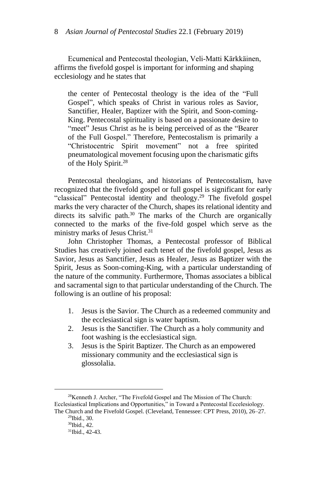Ecumenical and Pentecostal theologian, Veli-Matti Kärkkäinen, affirms the fivefold gospel is important for informing and shaping ecclesiology and he states that

the center of Pentecostal theology is the idea of the "Full Gospel", which speaks of Christ in various roles as Savior, Sanctifier, Healer, Baptizer with the Spirit, and Soon-coming-King. Pentecostal spirituality is based on a passionate desire to "meet" Jesus Christ as he is being perceived of as the "Bearer" of the Full Gospel." Therefore, Pentecostalism is primarily a "Christocentric Spirit movement" not a free spirited pneumatological movement focusing upon the charismatic gifts of the Holy Spirit.<sup>28</sup>

Pentecostal theologians, and historians of Pentecostalism, have recognized that the fivefold gospel or full gospel is significant for early "classical" Pentecostal identity and theology.<sup>29</sup> The fivefold gospel marks the very character of the Church, shapes its relational identity and directs its salvific path.<sup>30</sup> The marks of the Church are organically connected to the marks of the five-fold gospel which serve as the ministry marks of Jesus Christ.<sup>31</sup>

John Christopher Thomas, a Pentecostal professor of Biblical Studies has creatively joined each tenet of the fivefold gospel, Jesus as Savior, Jesus as Sanctifier, Jesus as Healer, Jesus as Baptizer with the Spirit, Jesus as Soon-coming-King, with a particular understanding of the nature of the community. Furthermore, Thomas associates a biblical and sacramental sign to that particular understanding of the Church. The following is an outline of his proposal:

- 1. Jesus is the Savior. The Church as a redeemed community and the ecclesiastical sign is water baptism.
- 2. Jesus is the Sanctifier. The Church as a holy community and foot washing is the ecclesiastical sign.
- 3. Jesus is the Spirit Baptizer. The Church as an empowered missionary community and the ecclesiastical sign is glossolalia.

<sup>28</sup>Kenneth J. Archer, "The Fivefold Gospel and The Mission of The Church: Ecclesiastical Implications and Opportunities," in Toward a Pentecostal Eccelesiology. The Church and the Fivefold Gospel. (Cleveland, Tennessee: CPT Press, 2010), 26–27.

<sup>29</sup>Ibid., 30.

<sup>30</sup>Ibid., 42.

<sup>31</sup>Ibid., 42-43.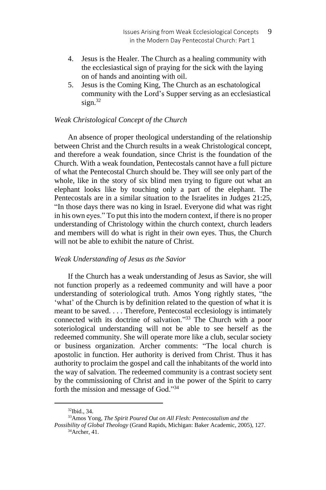- 4. Jesus is the Healer. The Church as a healing community with the ecclesiastical sign of praying for the sick with the laying on of hands and anointing with oil.
- 5. Jesus is the Coming King, The Church as an eschatological community with the Lord's Supper serving as an ecclesiastical  $s$ ign. $32$

## *Weak Christological Concept of the Church*

An absence of proper theological understanding of the relationship between Christ and the Church results in a weak Christological concept, and therefore a weak foundation, since Christ is the foundation of the Church. With a weak foundation, Pentecostals cannot have a full picture of what the Pentecostal Church should be. They will see only part of the whole, like in the story of six blind men trying to figure out what an elephant looks like by touching only a part of the elephant. The Pentecostals are in a similar situation to the Israelites in Judges 21:25, "In those days there was no king in Israel. Everyone did what was right in his own eyes." To put thisinto the modern context, if there is no proper understanding of Christology within the church context, church leaders and members will do what is right in their own eyes. Thus, the Church will not be able to exhibit the nature of Christ.

## *Weak Understanding of Jesus as the Savior*

If the Church has a weak understanding of Jesus as Savior, she will not function properly as a redeemed community and will have a poor understanding of soteriological truth. Amos Yong rightly states, "the 'what' of the Church is by definition related to the question of what it is meant to be saved. . . . Therefore, Pentecostal ecclesiology is intimately connected with its doctrine of salvation."<sup>33</sup> The Church with a poor soteriological understanding will not be able to see herself as the redeemed community. She will operate more like a club, secular society or business organization. Archer comments: "The local church is apostolic in function. Her authority is derived from Christ. Thus it has authority to proclaim the gospel and call the inhabitants of the world into the way of salvation. The redeemed community is a contrast society sent by the commissioning of Christ and in the power of the Spirit to carry forth the mission and message of God."<sup>34</sup>

<sup>32</sup>Ibid., 34.

<sup>33</sup>Amos Yong, *The Spirit Poured Out on All Flesh: Pentecostalism and the* 

*Possibility of Global Theology* (Grand Rapids, Michigan: Baker Academic, 2005), 127. 34Archer, 41.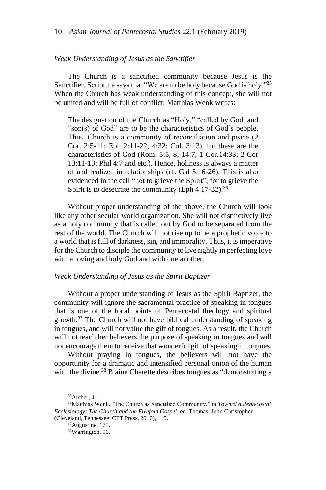#### *Weak Understanding of Jesus as the Sanctifier*

The Church is a sanctified community because Jesus is the Sanctifier. Scripture says that "We are to be holy because God is holy."<sup>35</sup> When the Church has weak understanding of this concept, she will not be united and will be full of conflict. Matthias Wenk writes:

The designation of the Church as "Holy," "called by God, and "son(s) of God" are to be the characteristics of God's people. Thus, Church is a community of reconciliation and peace (2 Cor. 2:5-11; Eph 2:11-22; 4:32; Col. 3:13), for these are the characteristics of God (Rom. 5:5, 8; 14:7; 1 Cor.14:33; 2 Cor 13:11-13; Phil 4:7 and etc.). Hence, holiness is always a matter of and realized in relationships (cf. Gal 5:16-26). This is also evidenced in the call "not to grieve the Spirit", for to grieve the Spirit is to desecrate the community (Eph  $4:17-32$ ).<sup>36</sup>

Without proper understanding of the above, the Church will look like any other secular world organization. She will not distinctively live as a holy community that is called out by God to be separated from the rest of the world. The Church will not rise up to be a prophetic voice to a world that is full of darkness, sin, and immorality. Thus, it is imperative for the Church to disciple the community to live rightly in perfecting love with a loving and holy God and with one another.

## *Weak Understanding of Jesus as the Spirit Baptizer*

Without a proper understanding of Jesus as the Spirit Baptizer, the community will ignore the sacramental practice of speaking in tongues that is one of the focal points of Pentecostal theology and spiritual growth.<sup>37</sup> The Church will not have biblical understanding of speaking in tongues, and will not value the gift of tongues. As a result, the Church will not teach her believers the purpose of speaking in tongues and will not encourage them to receive that wonderful gift of speaking in tongues.

Without praying in tongues, the believers will not have the opportunity for a dramatic and intensified personal union of the human with the divine.<sup>38</sup> Blaine Charette describes tongues as "demonstrating a

<sup>35</sup>Archer, 41.

<sup>36</sup>Matthias Wenk, "The Church as Sanctified Community," in *Toward a Pentecostal Ecclesiology: The Church and the Fivefold Gospel*, ed. Thomas, John Christopher (Cleveland, Tennessee: CPT Press, 2010), 119.

<sup>37</sup>Augustine, 175.

<sup>&</sup>lt;sup>38</sup>Warrington, 90.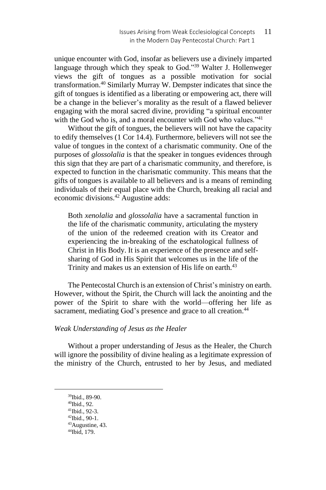unique encounter with God, insofar as believers use a divinely imparted language through which they speak to God."<sup>39</sup> Walter J. Hollenweger views the gift of tongues as a possible motivation for social transformation.<sup>40</sup> Similarly Murray W. Dempster indicates that since the gift of tongues is identified as a liberating or empowering act, there will be a change in the believer's morality as the result of a flawed believer engaging with the moral sacred divine, providing "a spiritual encounter with the God who is, and a moral encounter with God who values."<sup>41</sup>

Without the gift of tongues, the believers will not have the capacity to edify themselves (1 Cor 14.4). Furthermore, believers will not see the value of tongues in the context of a charismatic community. One of the purposes of *glossolalia* is that the speaker in tongues evidences through this sign that they are part of a charismatic community, and therefore, is expected to function in the charismatic community. This means that the gifts of tongues is available to all believers and is a means of reminding individuals of their equal place with the Church, breaking all racial and economic divisions.<sup>42</sup> Augustine adds:

Both *xenolalia* and *glossolalia* have a sacramental function in the life of the charismatic community, articulating the mystery of the union of the redeemed creation with its Creator and experiencing the in-breaking of the eschatological fullness of Christ in His Body. It is an experience of the presence and selfsharing of God in His Spirit that welcomes us in the life of the Trinity and makes us an extension of His life on earth.<sup>43</sup>

The Pentecostal Church is an extension of Christ's ministry on earth. However, without the Spirit, the Church will lack the anointing and the power of the Spirit to share with the world—offering her life as sacrament, mediating God's presence and grace to all creation.<sup>44</sup>

## *Weak Understanding of Jesus as the Healer*

Without a proper understanding of Jesus as the Healer, the Church will ignore the possibility of divine healing as a legitimate expression of the ministry of the Church, entrusted to her by Jesus, and mediated

<sup>39</sup>Ibid., 89-90.

<sup>40</sup>Ibid., 92.

<sup>41</sup>Ibid., 92-3.

<sup>42</sup>Ibid., 90-1. <sup>43</sup>Augustine, 43.

<sup>44</sup>Ibid, 179.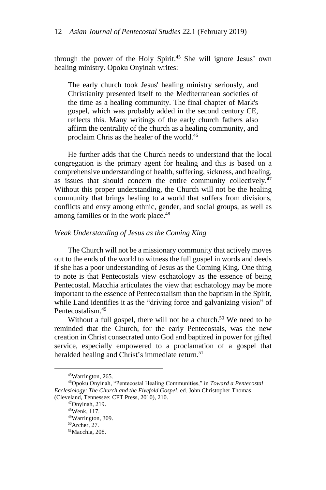through the power of the Holy Spirit.<sup>45</sup> She will ignore Jesus' own healing ministry. Opoku Onyinah writes:

The early church took Jesus' healing ministry seriously, and Christianity presented itself to the Mediterranean societies of the time as a healing community. The final chapter of Mark's gospel, which was probably added in the second century CE, reflects this. Many writings of the early church fathers also affirm the centrality of the church as a healing community, and proclaim Chris as the healer of the world.<sup>46</sup>

He further adds that the Church needs to understand that the local congregation is the primary agent for healing and this is based on a comprehensive understanding of health, suffering, sickness, and healing, as issues that should concern the entire community collectively.<sup>47</sup> Without this proper understanding, the Church will not be the healing community that brings healing to a world that suffers from divisions, conflicts and envy among ethnic, gender, and social groups, as well as among families or in the work place.<sup>48</sup>

#### *Weak Understanding of Jesus as the Coming King*

The Church will not be a missionary community that actively moves out to the ends of the world to witness the full gospel in words and deeds if she has a poor understanding of Jesus as the Coming King. One thing to note is that Pentecostals view eschatology as the essence of being Pentecostal. Macchia articulates the view that eschatology may be more important to the essence of Pentecostalism than the baptism in the Spirit, while Land identifies it as the "driving force and galvanizing vision" of Pentecostalism.<sup>49</sup>

Without a full gospel, there will not be a church.<sup>50</sup> We need to be reminded that the Church, for the early Pentecostals, was the new creation in Christ consecrated unto God and baptized in power for gifted service, especially empowered to a proclamation of a gospel that heralded healing and Christ's immediate return.<sup>51</sup>

<sup>45</sup>Warrington, 265.

<sup>46</sup>Opoku Onyinah, "Pentecostal Healing Communities," in *Toward a Pentecostal Ecclesiology: The Church and the Fivefold Gospel*, ed. John Christopher Thomas (Cleveland, Tennessee: CPT Press, 2010), 210.

<sup>47</sup>Onyinah, 219.

<sup>48</sup>Wenk, 117.

<sup>49</sup>Warrington, 309.

<sup>50</sup>Archer, 27.

<sup>51</sup>Macchia, 208.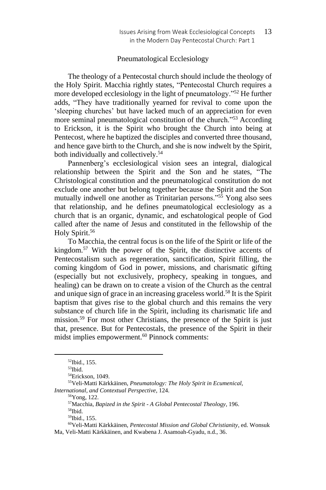### Pneumatological Ecclesiology

The theology of a Pentecostal church should include the theology of the Holy Spirit. Macchia rightly states, "Pentecostal Church requires a more developed ecclesiology in the light of pneumatology."<sup>52</sup> He further adds, "They have traditionally yearned for revival to come upon the 'sleeping churches' but have lacked much of an appreciation for even more seminal pneumatological constitution of the church."<sup>53</sup> According to Erickson, it is the Spirit who brought the Church into being at Pentecost, where he baptized the disciples and converted three thousand, and hence gave birth to the Church, and she is now indwelt by the Spirit, both individually and collectively.<sup>54</sup>

Pannenberg's ecclesiological vision sees an integral, dialogical relationship between the Spirit and the Son and he states, "The Christological constitution and the pneumatological constitution do not exclude one another but belong together because the Spirit and the Son mutually indwell one another as Trinitarian persons."<sup>55</sup> Yong also sees that relationship, and he defines pneumatological ecclesiology as a church that is an organic, dynamic, and eschatological people of God called after the name of Jesus and constituted in the fellowship of the Holy Spirit.<sup>56</sup>

To Macchia, the central focus is on the life of the Spirit or life of the kingdom.<sup>57</sup> With the power of the Spirit, the distinctive accents of Pentecostalism such as regeneration, sanctification, Spirit filling, the coming kingdom of God in power, missions, and charismatic gifting (especially but not exclusively, prophecy, speaking in tongues, and healing) can be drawn on to create a vision of the Church as the central and unique sign of grace in an increasing graceless world.<sup>58</sup> It is the Spirit baptism that gives rise to the global church and this remains the very substance of church life in the Spirit, including its charismatic life and mission.<sup>59</sup> For most other Christians, the presence of the Spirit is just that, presence. But for Pentecostals, the presence of the Spirit in their midst implies empowerment.<sup>60</sup> Pinnock comments:

<sup>52</sup>Ibid., 155.

<sup>53</sup>Ibid.

<sup>54</sup>Erickson, 1049.

<sup>55</sup>Veli-Matti Kärkkäinen, *Pneumatology: The Holy Spirit in Ecumenical, International, and Contextual Perspective*, 124.

<sup>56</sup>Yong, 122.

<sup>57</sup>Macchia, *Bapized in the Spirit - A Global Pentecostal Theology*, 196.

 $\rm ^{58}Ibid.$ 

<sup>59</sup>Ibid., 155.

<sup>60</sup>Veli-Matti Kärkkäinen, *Pentecostal Mission and Global Christianity*, ed. Wonsuk Ma, Veli-Matti Kärkkäinen, and Kwabena J. Asamoah-Gyadu, n.d., 36.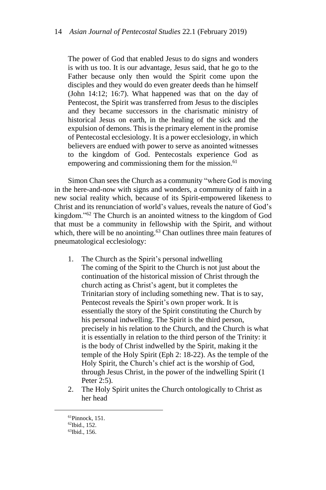The power of God that enabled Jesus to do signs and wonders is with us too. It is our advantage, Jesus said, that he go to the Father because only then would the Spirit come upon the disciples and they would do even greater deeds than he himself (John 14:12; 16:7). What happened was that on the day of Pentecost, the Spirit was transferred from Jesus to the disciples and they became successors in the charismatic ministry of historical Jesus on earth, in the healing of the sick and the expulsion of demons. This is the primary element in the promise of Pentecostal ecclesiology. It is a power ecclesiology, in which believers are endued with power to serve as anointed witnesses to the kingdom of God. Pentecostals experience God as empowering and commissioning them for the mission.<sup>61</sup>

Simon Chan sees the Church as a community "where God is moving in the here-and-now with signs and wonders, a community of faith in a new social reality which, because of its Spirit-empowered likeness to Christ and its renunciation of world's values, reveals the nature of God's kingdom."<sup>62</sup> The Church is an anointed witness to the kingdom of God that must be a community in fellowship with the Spirit, and without which, there will be no anointing.<sup>63</sup> Chan outlines three main features of pneumatological ecclesiology:

- 1. The Church as the Spirit's personal indwelling The coming of the Spirit to the Church is not just about the continuation of the historical mission of Christ through the church acting as Christ's agent, but it completes the Trinitarian story of including something new. That is to say, Pentecost reveals the Spirit's own proper work. It is essentially the story of the Spirit constituting the Church by his personal indwelling. The Spirit is the third person, precisely in his relation to the Church, and the Church is what it is essentially in relation to the third person of the Trinity: it is the body of Christ indwelled by the Spirit, making it the temple of the Holy Spirit (Eph 2: 18-22). As the temple of the Holy Spirit, the Church's chief act is the worship of God, through Jesus Christ, in the power of the indwelling Spirit (1 Peter 2:5).
- 2. The Holy Spirit unites the Church ontologically to Christ as her head

<sup>61</sup>Pinnock, 151.

<sup>62</sup>Ibid., 152.

<sup>63</sup>Ibid., 156.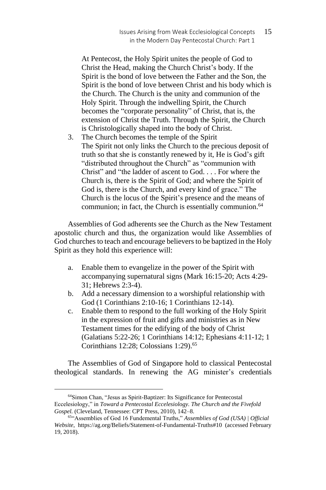At Pentecost, the Holy Spirit unites the people of God to Christ the Head, making the Church Christ's body. If the Spirit is the bond of love between the Father and the Son, the Spirit is the bond of love between Christ and his body which is the Church. The Church is the unity and communion of the Holy Spirit. Through the indwelling Spirit, the Church becomes the "corporate personality" of Christ, that is, the extension of Christ the Truth. Through the Spirit, the Church is Christologically shaped into the body of Christ.

3. The Church becomes the temple of the Spirit The Spirit not only links the Church to the precious deposit of truth so that she is constantly renewed by it, He is God's gift "distributed throughout the Church" as "communion with Christ" and "the ladder of ascent to God. . . . For where the Church is, there is the Spirit of God; and where the Spirit of God is, there is the Church, and every kind of grace." The Church is the locus of the Spirit's presence and the means of communion; in fact, the Church is essentially communion.<sup>64</sup>

Assemblies of God adherents see the Church as the New Testament apostolic church and thus, the organization would like Assemblies of God churches to teach and encourage believers to be baptized in the Holy Spirit as they hold this experience will:

- a. Enable them to evangelize in the power of the Spirit with accompanying supernatural signs (Mark 16:15-20; Acts 4:29- 31; Hebrews 2:3-4).
- b. Add a necessary dimension to a worshipful relationship with God (1 Corinthians 2:10-16; 1 Corinthians 12-14).
- c. Enable them to respond to the full working of the Holy Spirit in the expression of fruit and gifts and ministries as in New Testament times for the edifying of the body of Christ (Galatians 5:22-26; 1 Corinthians 14:12; Ephesians 4:11-12; 1 Corinthians 12:28; Colossians 1:29).<sup>65</sup>

The Assemblies of God of Singapore hold to classical Pentecostal theological standards. In renewing the AG minister's credentials

<sup>64</sup>Simon Chan, "Jesus as Spirit-Baptizer: Its Significance for Pentecostal Eccelesiology," in *Toward a Pentecostal Eccelesiology. The Church and the Fivefold Gospel.* (Cleveland, Tennessee: CPT Press, 2010), 142–8.

<sup>65</sup>"Assemblies of God 16 Fundemental Truths," *Assemblies of God (USA) | Official Website*, https://ag.org/Beliefs/Statement-of-Fundamental-Truths#10 (accessed February 19, 2018).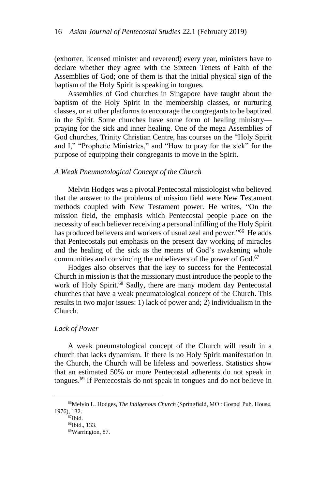(exhorter, licensed minister and reverend) every year, ministers have to declare whether they agree with the Sixteen Tenets of Faith of the Assemblies of God; one of them is that the initial physical sign of the baptism of the Holy Spirit is speaking in tongues.

Assemblies of God churches in Singapore have taught about the baptism of the Holy Spirit in the membership classes, or nurturing classes, or at other platforms to encourage the congregants to be baptized in the Spirit. Some churches have some form of healing ministry praying for the sick and inner healing. One of the mega Assemblies of God churches, Trinity Christian Centre, has courses on the "Holy Spirit and I," "Prophetic Ministries," and "How to pray for the sick" for the purpose of equipping their congregants to move in the Spirit.

## *A Weak Pneumatological Concept of the Church*

Melvin Hodges was a pivotal Pentecostal missiologist who believed that the answer to the problems of mission field were New Testament methods coupled with New Testament power. He writes, "On the mission field, the emphasis which Pentecostal people place on the necessity of each believer receiving a personal infilling of the Holy Spirit has produced believers and workers of usual zeal and power."<sup>66</sup> He adds that Pentecostals put emphasis on the present day working of miracles and the healing of the sick as the means of God's awakening whole communities and convincing the unbelievers of the power of God.<sup>67</sup>

Hodges also observes that the key to success for the Pentecostal Church in mission is that the missionary must introduce the people to the work of Holy Spirit.<sup>68</sup> Sadly, there are many modern day Pentecostal churches that have a weak pneumatological concept of the Church. This results in two major issues: 1) lack of power and; 2) individualism in the Church.

## *Lack of Power*

A weak pneumatological concept of the Church will result in a church that lacks dynamism. If there is no Holy Spirit manifestation in the Church, the Church will be lifeless and powerless. Statistics show that an estimated 50% or more Pentecostal adherents do not speak in tongues.<sup>69</sup> If Pentecostals do not speak in tongues and do not believe in

<sup>66</sup>Melvin L. Hodges, *The Indigenous Church* (Springfield, MO : Gospel Pub. House, 1976), 132.

 $67$ Ibid.

<sup>68</sup>Ibid., 133.

<sup>69</sup>Warrington, 87.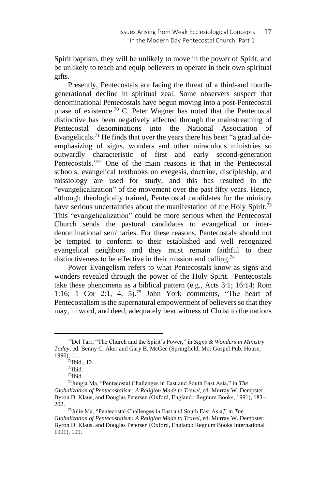Spirit baptism, they will be unlikely to move in the power of Spirit, and be unlikely to teach and equip believers to operate in their own spiritual gifts.

Presently, Pentecostals are facing the threat of a third-and fourthgenerational decline in spiritual zeal. Some observers suspect that denominational Pentecostals have begun moving into a post-Pentecostal phase of existence.<sup>70</sup> C. Peter Wagner has noted that the Pentecostal distinctive has been negatively affected through the mainstreaming of Pentecostal denominations into the National Association of Evangelicals.<sup>71</sup> He finds that over the years there has been "a gradual deemphasizing of signs, wonders and other miraculous ministries so outwardly characteristic of first and early second-generation Pentecostals."<sup>72</sup> One of the main reasons is that in the Pentecostal schools, evangelical textbooks on exegesis, doctrine, discipleship, and missiology are used for study, and this has resulted in the "evangelicalization" of the movement over the past fifty years. Hence, although theologically trained, Pentecostal candidates for the ministry have serious uncertainties about the manifestation of the Holy Spirit.<sup>73</sup> This "evangelicalization" could be more serious when the Pentecostal Church sends the pastoral candidates to evangelical or interdenominational seminaries. For these reasons, Pentecostals should not be tempted to conform to their established and well recognized evangelical neighbors and they must remain faithful to their distinctiveness to be effective in their mission and calling.<sup>74</sup>

Power Evangelism refers to what Pentecostals know as signs and wonders revealed through the power of the Holy Spirit. Pentecostals take these phenomena as a biblical pattern (e.g., Acts 3:1; 16:14; Rom 1:16; 1 Cor 2:1, 4, 5).<sup>75</sup> John York comments, "The heart of Pentecostalism is the supernatural empowerment of believers so that they may, in word, and deed, adequately bear witness of Christ to the nations

<sup>70</sup>Del Tarr, "The Church and the Spirit's Power," in *Signs & Wonders in Ministry Today*, ed. Benny C. Aker and Gary B. McGee (Springfield, Mo: Gospel Pub. House, 1996), 11.

 $71$ Ibid., 12.

<sup>72</sup>Ibid.

<sup>73</sup>Ibid.

<sup>74</sup>Jungja Ma, "Pentecostal Challenges in East and South East Asia," in *The Globalization of Pentecostalism: A Religion Made to Travel*, ed. Murray W. Dempster, Byron D. Klaus, and Douglas Petersen (Oxford, England : Regnum Books, 1991), 183– 202.

<sup>75</sup>Julie Ma, "Pentecostal Challenges in East and South East Asia," in *The Globalization of Pentecostalism: A Religion Made to Travel*, ed. Murray W. Dempster, Byron D. Klaus, and Douglas Petersen (Oxford, England: Regnum Books International 1991), 199.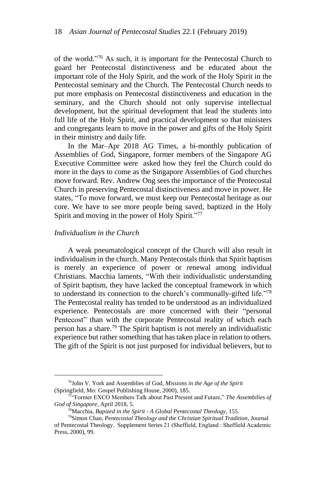of the world."<sup>76</sup> As such, it is important for the Pentecostal Church to guard her Pentecostal distinctiveness and be educated about the important role of the Holy Spirit, and the work of the Holy Spirit in the Pentecostal seminary and the Church. The Pentecostal Church needs to put more emphasis on Pentecostal distinctiveness and education in the seminary, and the Church should not only supervise intellectual development, but the spiritual development that lead the students into full life of the Holy Spirit, and practical development so that ministers and congregants learn to move in the power and gifts of the Holy Spirit in their ministry and daily life.

In the Mar–Apr 2018 AG Times, a bi-monthly publication of Assemblies of God, Singapore, former members of the Singapore AG Executive Committee were asked how they feel the Church could do more in the days to come as the Singapore Assemblies of God churches move forward. Rev. Andrew Ong sees the importance of the Pentecostal Church in preserving Pentecostal distinctiveness and move in power. He states, "To move forward, we must keep our Pentecostal heritage as our core. We have to see more people being saved, baptized in the Holy Spirit and moving in the power of Holy Spirit."<sup>77</sup>

## *Individualism in the Church*

A weak pneumatological concept of the Church will also result in individualism in the church. Many Pentecostals think that Spirit baptism is merely an experience of power or renewal among individual Christians. Macchia laments, "With their individualistic understanding of Spirit baptism, they have lacked the conceptual framework in which to understand its connection to the church's communally-gifted life."<sup>78</sup> The Pentecostal reality has tended to be understood as an individualized experience. Pentecostals are more concerned with their "personal Pentecost" than with the corporate Pentecostal reality of which each person has a share.<sup>79</sup> The Spirit baptism is not merely an individualistic experience but rather something that has taken place in relation to others. The gift of the Spirit is not just purposed for individual believers, but to

<sup>76</sup>John V. York and Assemblies of God, *Missions in the Age of the Spirit* (Springfield, Mo: Gospel Publishing House, 2000), 185.

<sup>77</sup>"Former EXCO Members Talk about Past Present and Future," *The Assembilies of God of Singapore*, April 2018, 5.

<sup>78</sup>Macchia, *Bapized in the Spirit - A Global Pentecostal Theology*, 155.

<sup>79</sup>Simon Chan, *Pentecostal Theology and the Christian Spiritual Tradition*, Journal of Pentecostal Theology. Supplement Series 21 (Sheffield, England : Sheffield Academic Press, 2000), 99.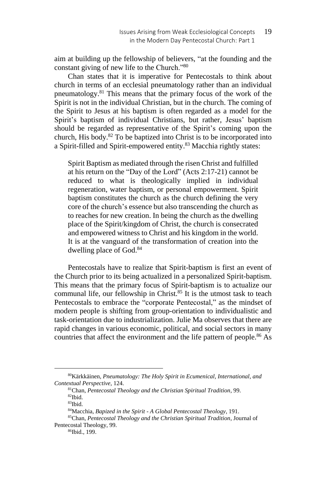aim at building up the fellowship of believers, "at the founding and the constant giving of new life to the Church."<sup>80</sup>

Chan states that it is imperative for Pentecostals to think about church in terms of an ecclesial pneumatology rather than an individual pneumatology.<sup>81</sup> This means that the primary focus of the work of the Spirit is not in the individual Christian, but in the church. The coming of the Spirit to Jesus at his baptism is often regarded as a model for the Spirit's baptism of individual Christians, but rather, Jesus' baptism should be regarded as representative of the Spirit's coming upon the church, His body. $82$  To be baptized into Christ is to be incorporated into a Spirit-filled and Spirit-empowered entity.<sup>83</sup> Macchia rightly states:

Spirit Baptism as mediated through the risen Christ and fulfilled at his return on the "Day of the Lord" (Acts 2:17-21) cannot be reduced to what is theologically implied in individual regeneration, water baptism, or personal empowerment. Spirit baptism constitutes the church as the church defining the very core of the church's essence but also transcending the church as to reaches for new creation. In being the church as the dwelling place of the Spirit/kingdom of Christ, the church is consecrated and empowered witness to Christ and his kingdom in the world. It is at the vanguard of the transformation of creation into the dwelling place of God.<sup>84</sup>

Pentecostals have to realize that Spirit-baptism is first an event of the Church prior to its being actualized in a personalized Spirit-baptism. This means that the primary focus of Spirit-baptism is to actualize our communal life, our fellowship in Christ.<sup>85</sup> It is the utmost task to teach Pentecostals to embrace the "corporate Pentecostal," as the mindset of modern people is shifting from group-orientation to individualistic and task-orientation due to industrialization. Julie Ma observes that there are rapid changes in various economic, political, and social sectors in many countries that affect the environment and the life pattern of people.<sup>86</sup> As

<sup>80</sup>Kärkkäinen, *Pneumatology: The Holy Spirit in Ecumenical, International, and Contextual Perspective*, 124.

<sup>81</sup>Chan, *Pentecostal Theology and the Christian Spiritual Tradition*, 99. <sup>82</sup>Ibid.

<sup>83</sup>Ibid.

<sup>84</sup>Macchia, *Bapized in the Spirit - A Global Pentecostal Theology*, 191.

<sup>85</sup>Chan, *Pentecostal Theology and the Christian Spiritual Tradition*, Journal of Pentecostal Theology, 99.

<sup>86</sup>Ibid., 199.